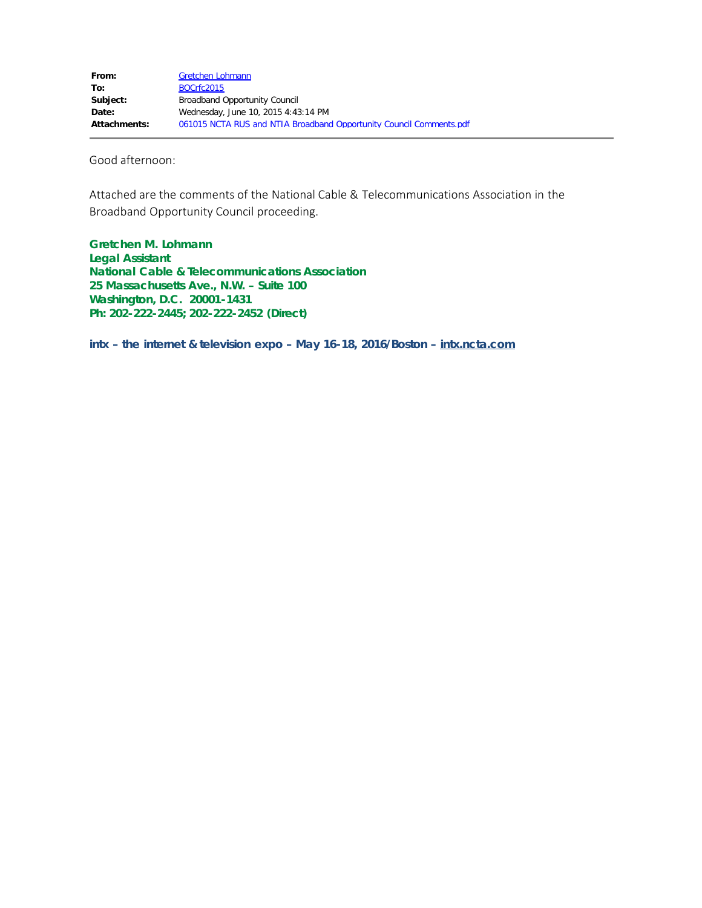Good afternoon:

Attached are the comments of the National Cable & Telecommunications Association in the Broadband Opportunity Council proceeding.

**Gretchen M. Lohmann Legal Assistant National Cable & Telecommunications Association 25 Massachusetts Ave., N.W. – Suite 100 Washington, D.C. 20001-1431 Ph: 202-222-2445; 202-222-2452 (Direct)**

**intx – the internet & television expo – May 16-18, 2016/Boston – intx.ncta.com**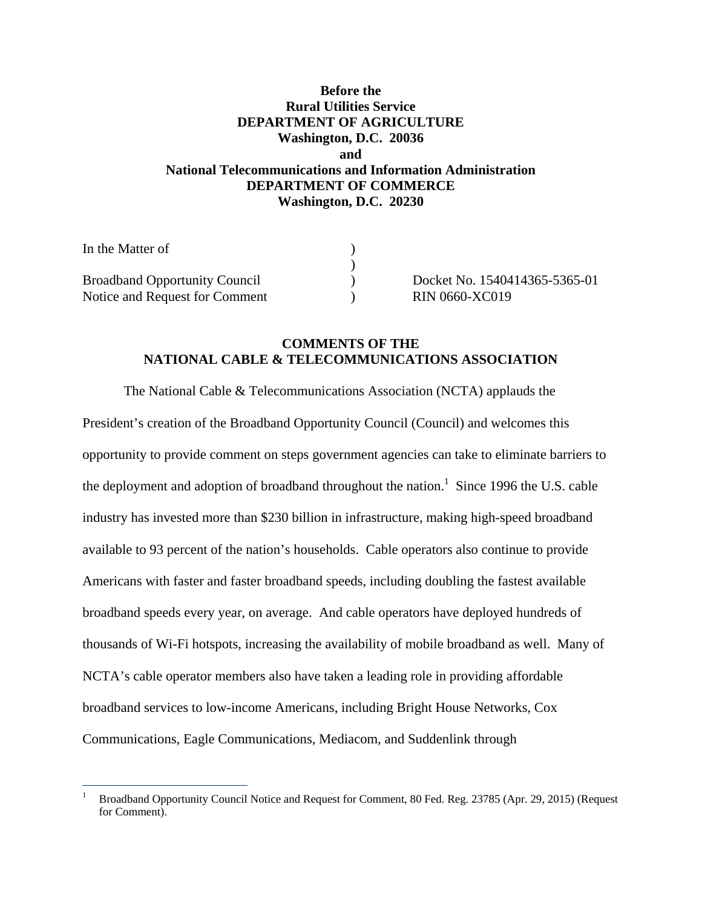# **Before the Rural Utilities Service DEPARTMENT OF AGRICULTURE Washington, D.C. 20036 and National Telecommunications and Information Administration DEPARTMENT OF COMMERCE Washington, D.C. 20230**

| In the Matter of                     |  |
|--------------------------------------|--|
|                                      |  |
| <b>Broadband Opportunity Council</b> |  |
| Notice and Request for Comment       |  |

 $\overline{a}$ 

) Docket No. 1540414365-5365-01  $N = RIN 0660-XC019$ 

# **COMMENTS OF THE NATIONAL CABLE & TELECOMMUNICATIONS ASSOCIATION**

The National Cable & Telecommunications Association (NCTA) applauds the President's creation of the Broadband Opportunity Council (Council) and welcomes this opportunity to provide comment on steps government agencies can take to eliminate barriers to the deployment and adoption of broadband throughout the nation.<sup>1</sup> Since 1996 the U.S. cable industry has invested more than \$230 billion in infrastructure, making high-speed broadband available to 93 percent of the nation's households. Cable operators also continue to provide Americans with faster and faster broadband speeds, including doubling the fastest available broadband speeds every year, on average. And cable operators have deployed hundreds of thousands of Wi-Fi hotspots, increasing the availability of mobile broadband as well. Many of NCTA's cable operator members also have taken a leading role in providing affordable broadband services to low-income Americans, including Bright House Networks, Cox Communications, Eagle Communications, Mediacom, and Suddenlink through

<sup>1</sup> Broadband Opportunity Council Notice and Request for Comment, 80 Fed. Reg. 23785 (Apr. 29, 2015) (Request for Comment).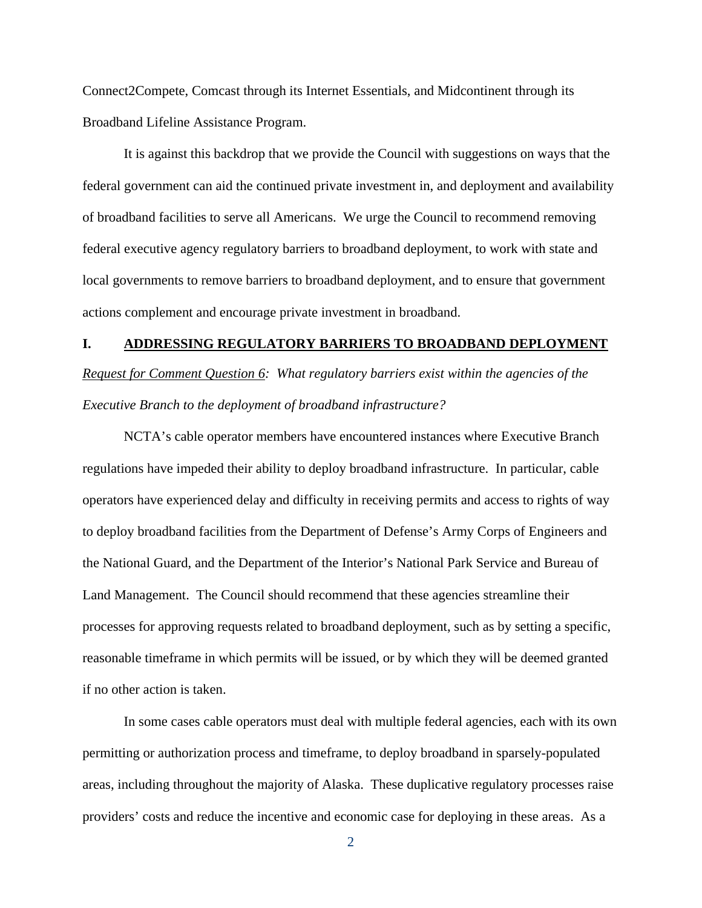Connect2Compete, Comcast through its Internet Essentials, and Midcontinent through its Broadband Lifeline Assistance Program.

It is against this backdrop that we provide the Council with suggestions on ways that the federal government can aid the continued private investment in, and deployment and availability of broadband facilities to serve all Americans. We urge the Council to recommend removing federal executive agency regulatory barriers to broadband deployment, to work with state and local governments to remove barriers to broadband deployment, and to ensure that government actions complement and encourage private investment in broadband.

## **I. ADDRESSING REGULATORY BARRIERS TO BROADBAND DEPLOYMENT**

*Request for Comment Question 6: What regulatory barriers exist within the agencies of the Executive Branch to the deployment of broadband infrastructure?* 

 NCTA's cable operator members have encountered instances where Executive Branch regulations have impeded their ability to deploy broadband infrastructure. In particular, cable operators have experienced delay and difficulty in receiving permits and access to rights of way to deploy broadband facilities from the Department of Defense's Army Corps of Engineers and the National Guard, and the Department of the Interior's National Park Service and Bureau of Land Management. The Council should recommend that these agencies streamline their processes for approving requests related to broadband deployment, such as by setting a specific, reasonable timeframe in which permits will be issued, or by which they will be deemed granted if no other action is taken.

In some cases cable operators must deal with multiple federal agencies, each with its own permitting or authorization process and timeframe, to deploy broadband in sparsely-populated areas, including throughout the majority of Alaska. These duplicative regulatory processes raise providers' costs and reduce the incentive and economic case for deploying in these areas. As a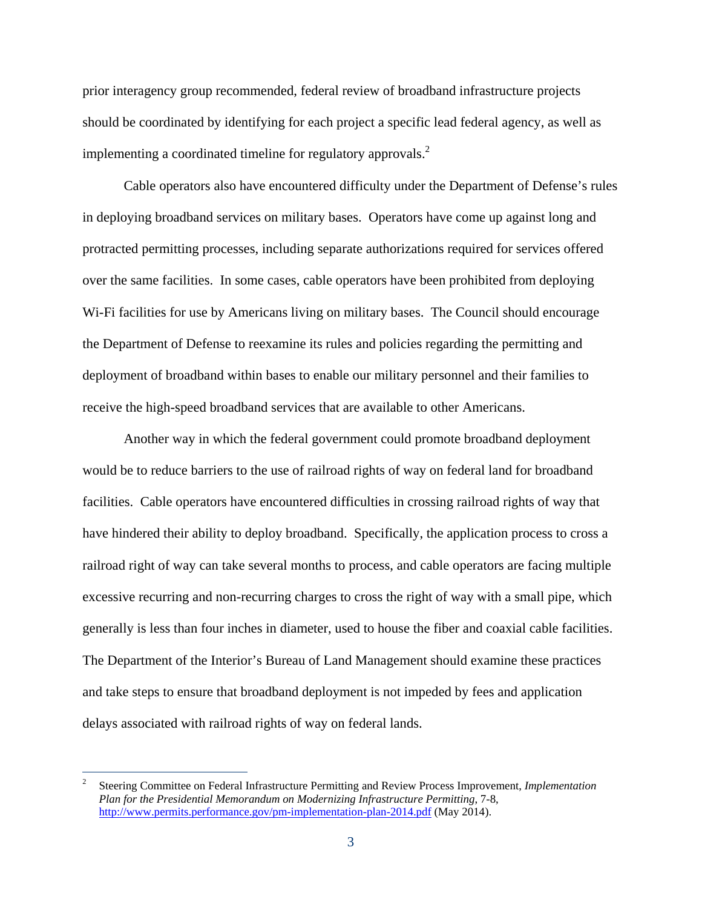prior interagency group recommended, federal review of broadband infrastructure projects should be coordinated by identifying for each project a specific lead federal agency, as well as implementing a coordinated timeline for regulatory approvals.<sup>2</sup>

Cable operators also have encountered difficulty under the Department of Defense's rules in deploying broadband services on military bases. Operators have come up against long and protracted permitting processes, including separate authorizations required for services offered over the same facilities. In some cases, cable operators have been prohibited from deploying Wi-Fi facilities for use by Americans living on military bases. The Council should encourage the Department of Defense to reexamine its rules and policies regarding the permitting and deployment of broadband within bases to enable our military personnel and their families to receive the high-speed broadband services that are available to other Americans.

Another way in which the federal government could promote broadband deployment would be to reduce barriers to the use of railroad rights of way on federal land for broadband facilities. Cable operators have encountered difficulties in crossing railroad rights of way that have hindered their ability to deploy broadband. Specifically, the application process to cross a railroad right of way can take several months to process, and cable operators are facing multiple excessive recurring and non-recurring charges to cross the right of way with a small pipe, which generally is less than four inches in diameter, used to house the fiber and coaxial cable facilities. The Department of the Interior's Bureau of Land Management should examine these practices and take steps to ensure that broadband deployment is not impeded by fees and application delays associated with railroad rights of way on federal lands.

 $\overline{a}$ 

<sup>2</sup> Steering Committee on Federal Infrastructure Permitting and Review Process Improvement, *Implementation Plan for the Presidential Memorandum on Modernizing Infrastructure Permitting*, 7-8, http://www.permits.performance.gov/pm-implementation-plan-2014.pdf (May 2014).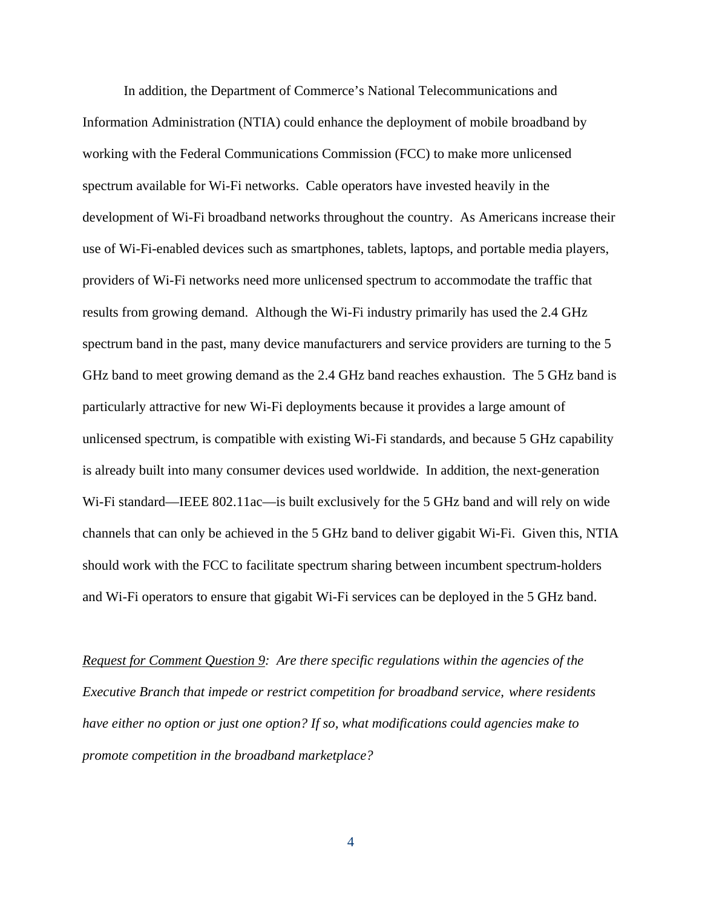In addition, the Department of Commerce's National Telecommunications and Information Administration (NTIA) could enhance the deployment of mobile broadband by working with the Federal Communications Commission (FCC) to make more unlicensed spectrum available for Wi-Fi networks. Cable operators have invested heavily in the development of Wi-Fi broadband networks throughout the country. As Americans increase their use of Wi-Fi-enabled devices such as smartphones, tablets, laptops, and portable media players, providers of Wi-Fi networks need more unlicensed spectrum to accommodate the traffic that results from growing demand. Although the Wi-Fi industry primarily has used the 2.4 GHz spectrum band in the past, many device manufacturers and service providers are turning to the 5 GHz band to meet growing demand as the 2.4 GHz band reaches exhaustion. The 5 GHz band is particularly attractive for new Wi-Fi deployments because it provides a large amount of unlicensed spectrum, is compatible with existing Wi-Fi standards, and because 5 GHz capability is already built into many consumer devices used worldwide. In addition, the next-generation Wi-Fi standard—IEEE 802.11ac—is built exclusively for the 5 GHz band and will rely on wide channels that can only be achieved in the 5 GHz band to deliver gigabit Wi-Fi. Given this, NTIA should work with the FCC to facilitate spectrum sharing between incumbent spectrum-holders and Wi-Fi operators to ensure that gigabit Wi-Fi services can be deployed in the 5 GHz band.

*Request for Comment Question 9: Are there specific regulations within the agencies of the Executive Branch that impede or restrict competition for broadband service, where residents have either no option or just one option? If so, what modifications could agencies make to promote competition in the broadband marketplace?*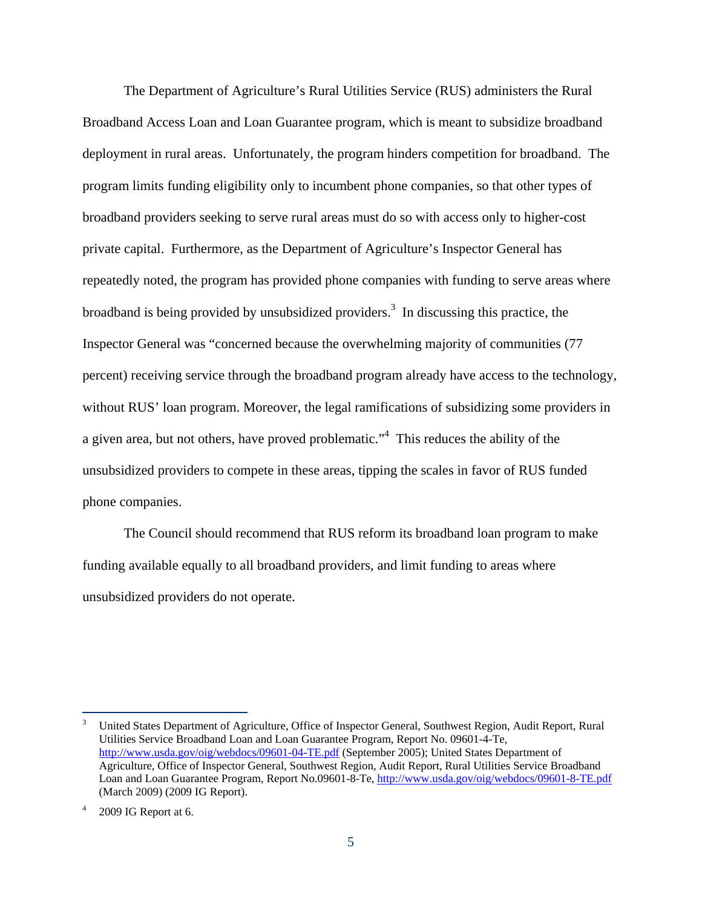The Department of Agriculture's Rural Utilities Service (RUS) administers the Rural Broadband Access Loan and Loan Guarantee program, which is meant to subsidize broadband deployment in rural areas. Unfortunately, the program hinders competition for broadband. The program limits funding eligibility only to incumbent phone companies, so that other types of broadband providers seeking to serve rural areas must do so with access only to higher-cost private capital. Furthermore, as the Department of Agriculture's Inspector General has repeatedly noted, the program has provided phone companies with funding to serve areas where broadband is being provided by unsubsidized providers.<sup>3</sup> In discussing this practice, the Inspector General was "concerned because the overwhelming majority of communities (77 percent) receiving service through the broadband program already have access to the technology, without RUS' loan program. Moreover, the legal ramifications of subsidizing some providers in a given area, but not others, have proved problematic."<sup>4</sup> This reduces the ability of the unsubsidized providers to compete in these areas, tipping the scales in favor of RUS funded phone companies.

The Council should recommend that RUS reform its broadband loan program to make funding available equally to all broadband providers, and limit funding to areas where unsubsidized providers do not operate.

-

<sup>3</sup> United States Department of Agriculture, Office of Inspector General, Southwest Region, Audit Report, Rural Utilities Service Broadband Loan and Loan Guarantee Program, Report No. 09601-4-Te, http://www.usda.gov/oig/webdocs/09601-04-TE.pdf (September 2005); United States Department of Agriculture, Office of Inspector General, Southwest Region, Audit Report, Rural Utilities Service Broadband Loan and Loan Guarantee Program, Report No.09601-8-Te, http://www.usda.gov/oig/webdocs/09601-8-TE.pdf (March 2009) (2009 IG Report).

<sup>4</sup> 2009 IG Report at 6.